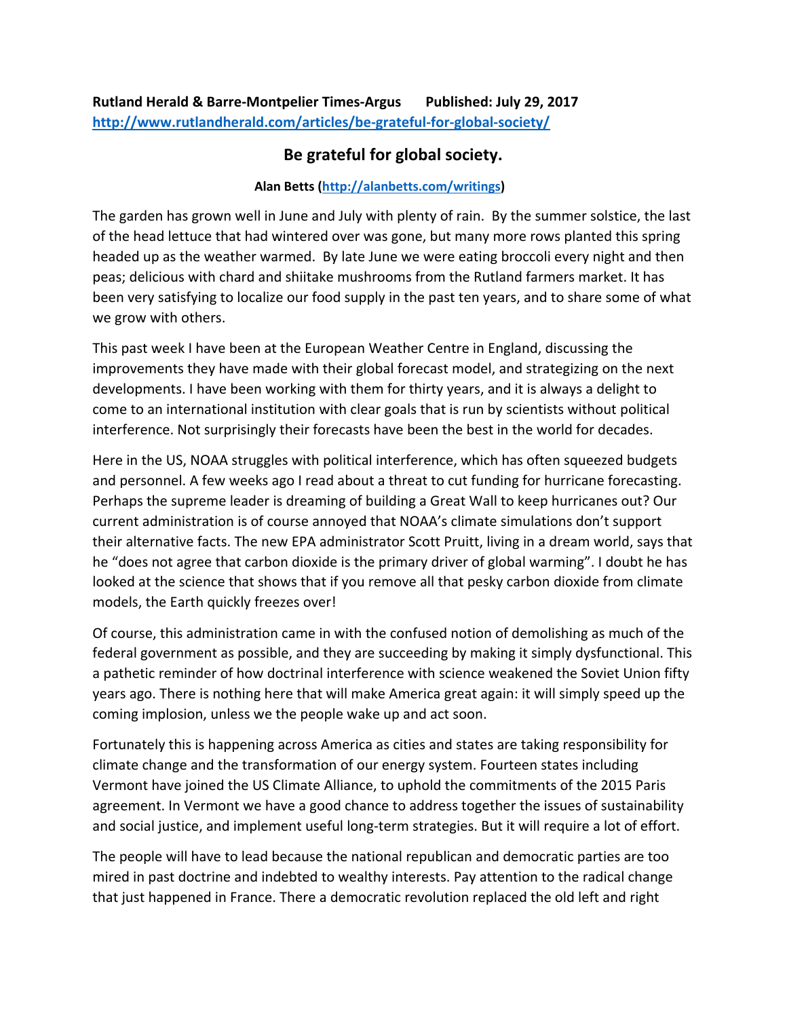## **Be grateful for global society.**

## **Alan Betts (http://alanbetts.com/writings)**

The garden has grown well in June and July with plenty of rain. By the summer solstice, the last of the head lettuce that had wintered over was gone, but many more rows planted this spring headed up as the weather warmed. By late June we were eating broccoli every night and then peas; delicious with chard and shiitake mushrooms from the Rutland farmers market. It has been very satisfying to localize our food supply in the past ten years, and to share some of what we grow with others.

This past week I have been at the European Weather Centre in England, discussing the improvements they have made with their global forecast model, and strategizing on the next developments. I have been working with them for thirty years, and it is always a delight to come to an international institution with clear goals that is run by scientists without political interference. Not surprisingly their forecasts have been the best in the world for decades.

Here in the US, NOAA struggles with political interference, which has often squeezed budgets and personnel. A few weeks ago I read about a threat to cut funding for hurricane forecasting. Perhaps the supreme leader is dreaming of building a Great Wall to keep hurricanes out? Our current administration is of course annoyed that NOAA's climate simulations don't support their alternative facts. The new EPA administrator Scott Pruitt, living in a dream world, says that he "does not agree that carbon dioxide is the primary driver of global warming". I doubt he has looked at the science that shows that if you remove all that pesky carbon dioxide from climate models, the Earth quickly freezes over!

Of course, this administration came in with the confused notion of demolishing as much of the federal government as possible, and they are succeeding by making it simply dysfunctional. This a pathetic reminder of how doctrinal interference with science weakened the Soviet Union fifty years ago. There is nothing here that will make America great again: it will simply speed up the coming implosion, unless we the people wake up and act soon.

Fortunately this is happening across America as cities and states are taking responsibility for climate change and the transformation of our energy system. Fourteen states including Vermont have joined the US Climate Alliance, to uphold the commitments of the 2015 Paris agreement. In Vermont we have a good chance to address together the issues of sustainability and social justice, and implement useful long-term strategies. But it will require a lot of effort.

The people will have to lead because the national republican and democratic parties are too mired in past doctrine and indebted to wealthy interests. Pay attention to the radical change that just happened in France. There a democratic revolution replaced the old left and right